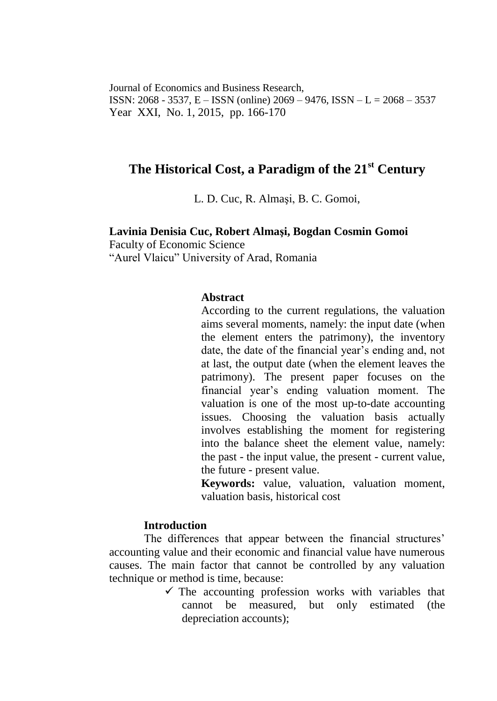Journal of Economics and Business Research, ISSN: 2068 - 3537, E – ISSN (online) 2069 – 9476, ISSN – L = 2068 – 3537 Year XXI, No. 1, 2015, pp. 166-170

# **The Historical Cost, a Paradigm of the 21st Century**

L. D. Cuc, R. Almaşi, B. C. Gomoi,

#### **Lavinia Denisia Cuc, Robert Almaşi, Bogdan Cosmin Gomoi**

Faculty of Economic Science "Aurel Vlaicu" University of Arad, Romania

## **Abstract**

According to the current regulations, the valuation aims several moments, namely: the input date (when the element enters the patrimony), the inventory date, the date of the financial year's ending and, not at last, the output date (when the element leaves the patrimony). The present paper focuses on the financial year's ending valuation moment. The valuation is one of the most up-to-date accounting issues. Choosing the valuation basis actually involves establishing the moment for registering into the balance sheet the element value, namely: the past - the input value, the present - current value, the future - present value.

**Keywords:** value, valuation, valuation moment, valuation basis, historical cost

#### **Introduction**

The differences that appear between the financial structures' accounting value and their economic and financial value have numerous causes. The main factor that cannot be controlled by any valuation technique or method is time, because:

> $\checkmark$  The accounting profession works with variables that cannot be measured, but only estimated (the depreciation accounts);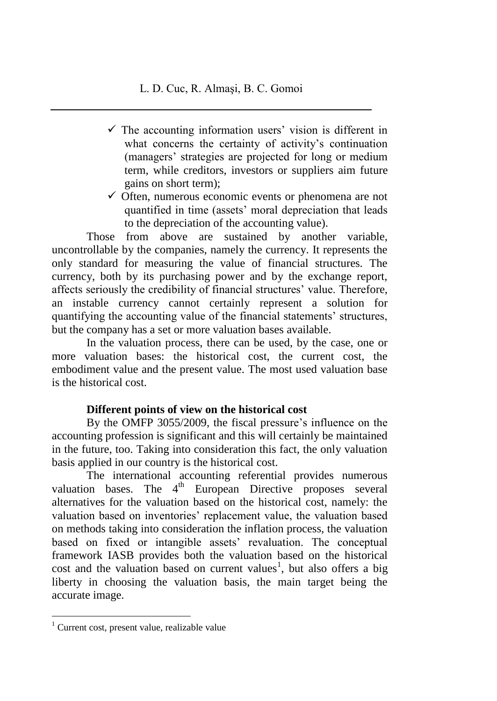- $\checkmark$  The accounting information users' vision is different in what concerns the certainty of activity's continuation (managers' strategies are projected for long or medium term, while creditors, investors or suppliers aim future gains on short term);
- $\checkmark$  Often, numerous economic events or phenomena are not quantified in time (assets' moral depreciation that leads to the depreciation of the accounting value).

Those from above are sustained by another variable, uncontrollable by the companies, namely the currency. It represents the only standard for measuring the value of financial structures. The currency, both by its purchasing power and by the exchange report, affects seriously the credibility of financial structures' value. Therefore, an instable currency cannot certainly represent a solution for quantifying the accounting value of the financial statements' structures, but the company has a set or more valuation bases available.

In the valuation process, there can be used, by the case, one or more valuation bases: the historical cost, the current cost, the embodiment value and the present value. The most used valuation base is the historical cost.

# **Different points of view on the historical cost**

By the OMFP 3055/2009, the fiscal pressure's influence on the accounting profession is significant and this will certainly be maintained in the future, too. Taking into consideration this fact, the only valuation basis applied in our country is the historical cost.

The international accounting referential provides numerous valuation bases. The 4<sup>th</sup> European Directive proposes several alternatives for the valuation based on the historical cost, namely: the valuation based on inventories' replacement value, the valuation based on methods taking into consideration the inflation process, the valuation based on fixed or intangible assets' revaluation. The conceptual framework IASB provides both the valuation based on the historical cost and the valuation based on current values<sup>1</sup>, but also offers a big liberty in choosing the valuation basis, the main target being the accurate image.

 $\overline{a}$ 

 $1$  Current cost, present value, realizable value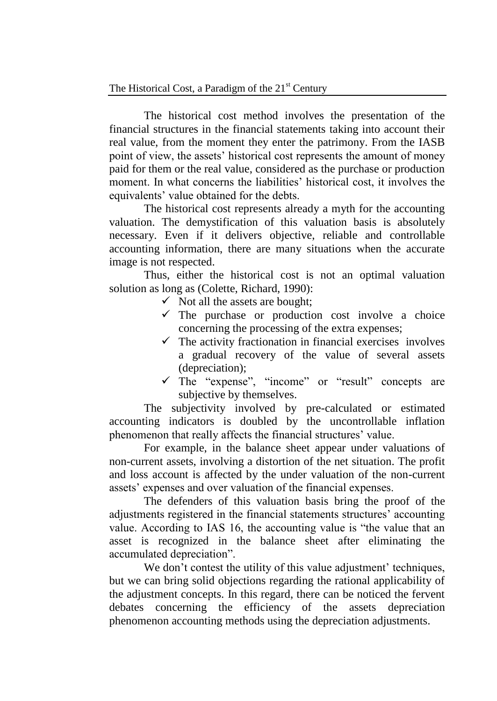The historical cost method involves the presentation of the financial structures in the financial statements taking into account their real value, from the moment they enter the patrimony. From the IASB point of view, the assets' historical cost represents the amount of money paid for them or the real value, considered as the purchase or production moment. In what concerns the liabilities' historical cost, it involves the equivalents' value obtained for the debts.

The historical cost represents already a myth for the accounting valuation. The demystification of this valuation basis is absolutely necessary. Even if it delivers objective, reliable and controllable accounting information, there are many situations when the accurate image is not respected.

Thus, either the historical cost is not an optimal valuation solution as long as (Colette, Richard, 1990):

- $\checkmark$  Not all the assets are bought;
- $\checkmark$  The purchase or production cost involve a choice concerning the processing of the extra expenses;
- $\checkmark$  The activity fractionation in financial exercises involves a gradual recovery of the value of several assets (depreciation);
- $\checkmark$  The "expense", "income" or "result" concepts are subjective by themselves.

The subjectivity involved by pre-calculated or estimated accounting indicators is doubled by the uncontrollable inflation phenomenon that really affects the financial structures' value.

For example, in the balance sheet appear under valuations of non-current assets, involving a distortion of the net situation. The profit and loss account is affected by the under valuation of the non-current assets' expenses and over valuation of the financial expenses.

The defenders of this valuation basis bring the proof of the adjustments registered in the financial statements structures' accounting value. According to IAS 16, the accounting value is "the value that an asset is recognized in the balance sheet after eliminating the accumulated depreciation".

We don't contest the utility of this value adjustment' techniques, but we can bring solid objections regarding the rational applicability of the adjustment concepts. In this regard, there can be noticed the fervent debates concerning the efficiency of the assets depreciation phenomenon accounting methods using the depreciation adjustments.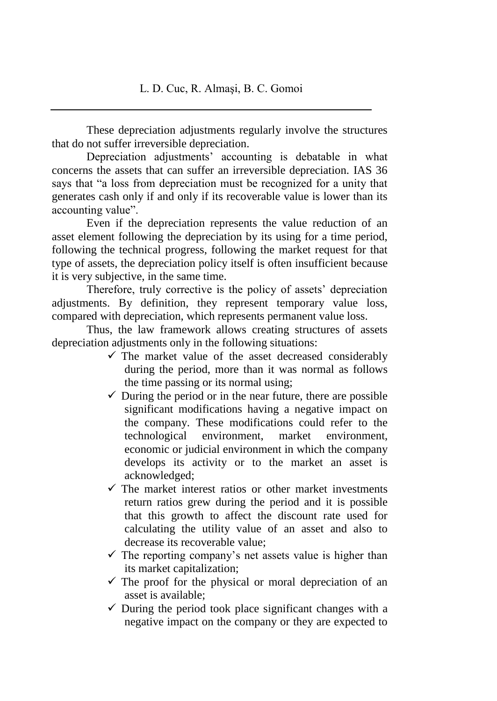These depreciation adjustments regularly involve the structures that do not suffer irreversible depreciation.

Depreciation adjustments' accounting is debatable in what concerns the assets that can suffer an irreversible depreciation. IAS 36 says that "a loss from depreciation must be recognized for a unity that generates cash only if and only if its recoverable value is lower than its accounting value".

Even if the depreciation represents the value reduction of an asset element following the depreciation by its using for a time period, following the technical progress, following the market request for that type of assets, the depreciation policy itself is often insufficient because it is very subjective, in the same time.

Therefore, truly corrective is the policy of assets' depreciation adjustments. By definition, they represent temporary value loss, compared with depreciation, which represents permanent value loss.

Thus, the law framework allows creating structures of assets depreciation adjustments only in the following situations:

- $\checkmark$  The market value of the asset decreased considerably during the period, more than it was normal as follows the time passing or its normal using;
- $\checkmark$  During the period or in the near future, there are possible significant modifications having a negative impact on the company. These modifications could refer to the technological environment, market environment, economic or judicial environment in which the company develops its activity or to the market an asset is acknowledged;
- $\checkmark$  The market interest ratios or other market investments return ratios grew during the period and it is possible that this growth to affect the discount rate used for calculating the utility value of an asset and also to decrease its recoverable value;
- $\checkmark$  The reporting company's net assets value is higher than its market capitalization;
- $\checkmark$  The proof for the physical or moral depreciation of an asset is available;
- $\checkmark$  During the period took place significant changes with a negative impact on the company or they are expected to